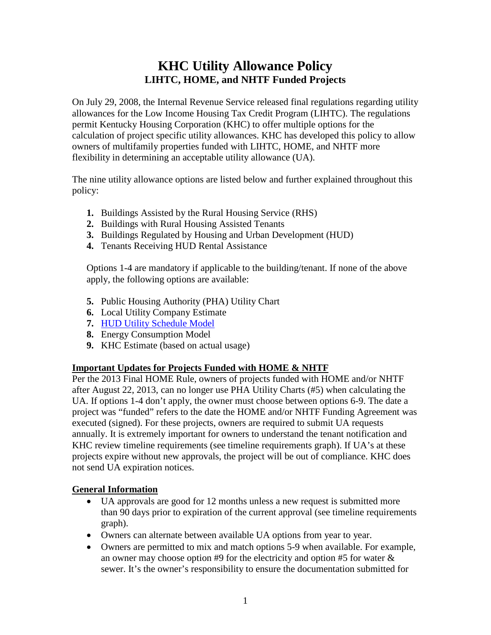# **KHC Utility Allowance Policy LIHTC, HOME, and NHTF Funded Projects**

On July 29, 2008, the Internal Revenue Service released final regulations regarding utility allowances for the Low Income Housing Tax Credit Program (LIHTC). The regulations permit Kentucky Housing Corporation (KHC) to offer multiple options for the calculation of project specific utility allowances. KHC has developed this policy to allow owners of multifamily properties funded with LIHTC, HOME, and NHTF more flexibility in determining an acceptable utility allowance (UA).

The nine utility allowance options are listed below and further explained throughout this policy:

- **1.** Buildings Assisted by the Rural Housing Service (RHS)
- **2.** Buildings with Rural Housing Assisted Tenants
- **3.** Buildings Regulated by Housing and Urban Development (HUD)
- **4.** Tenants Receiving HUD Rental Assistance

Options 1-4 are mandatory if applicable to the building/tenant. If none of the above apply, the following options are available:

- **5.** Public Housing Authority (PHA) Utility Chart
- **6.** Local Utility Company Estimate
- **7.** [HUD Utility Schedule Model](https://www.huduser.gov/portal/datasets/husm/uam.html)
- **8.** Energy Consumption Model
- **9.** KHC Estimate (based on actual usage)

## **Important Updates for Projects Funded with HOME & NHTF**

Per the 2013 Final HOME Rule, owners of projects funded with HOME and/or NHTF after August 22, 2013, can no longer use PHA Utility Charts (#5) when calculating the UA. If options 1-4 don't apply, the owner must choose between options 6-9. The date a project was "funded" refers to the date the HOME and/or NHTF Funding Agreement was executed (signed). For these projects, owners are required to submit UA requests annually. It is extremely important for owners to understand the tenant notification and KHC review timeline requirements (see timeline requirements graph). If UA's at these projects expire without new approvals, the project will be out of compliance. KHC does not send UA expiration notices.

# **General Information**

- UA approvals are good for 12 months unless a new request is submitted more than 90 days prior to expiration of the current approval (see timeline requirements graph).
- Owners can alternate between available UA options from year to year.
- Owners are permitted to mix and match options 5-9 when available. For example, an owner may choose option #9 for the electricity and option #5 for water & sewer. It's the owner's responsibility to ensure the documentation submitted for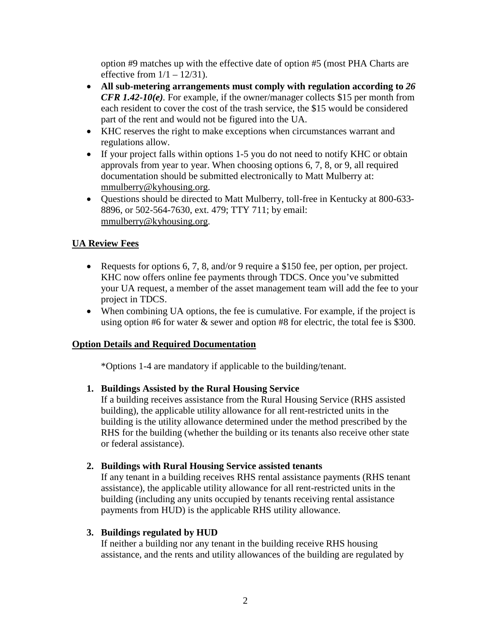option #9 matches up with the effective date of option #5 (most PHA Charts are effective from  $1/1 - 12/31$ .

- **All sub-metering arrangements must comply with regulation according to** *26 CFR 1.42-10(e).* For example, if the owner/manager collects \$15 per month from each resident to cover the cost of the trash service, the \$15 would be considered part of the rent and would not be figured into the UA.
- KHC reserves the right to make exceptions when circumstances warrant and regulations allow.
- If your project falls within options 1-5 you do not need to notify KHC or obtain approvals from year to year. When choosing options 6, 7, 8, or 9, all required documentation should be submitted electronically to Matt Mulberry at: [mmulberry@kyhousing.org.](mailto:mmulberry@kyhousing.org)
- Questions should be directed to Matt Mulberry, toll-free in Kentucky at 800-633- 8896, or 502-564-7630, ext. 479; TTY 711; by email: [mmulberry@kyhousing.org.](mailto:mmulberry@kyhousing.org)

# **UA Review Fees**

- Requests for options 6, 7, 8, and/or 9 require a \$150 fee, per option, per project. KHC now offers online fee payments through TDCS. Once you've submitted your UA request, a member of the asset management team will add the fee to your project in TDCS.
- When combining UA options, the fee is cumulative. For example, if the project is using option #6 for water  $\&$  sewer and option #8 for electric, the total fee is \$300.

# **Option Details and Required Documentation**

\*Options 1-4 are mandatory if applicable to the building/tenant.

# **1. Buildings Assisted by the Rural Housing Service**

If a building receives assistance from the Rural Housing Service (RHS assisted building), the applicable utility allowance for all rent-restricted units in the building is the utility allowance determined under the method prescribed by the RHS for the building (whether the building or its tenants also receive other state or federal assistance).

# **2. Buildings with Rural Housing Service assisted tenants**

If any tenant in a building receives RHS rental assistance payments (RHS tenant assistance), the applicable utility allowance for all rent-restricted units in the building (including any units occupied by tenants receiving rental assistance payments from HUD) is the applicable RHS utility allowance.

## **3. Buildings regulated by HUD**

If neither a building nor any tenant in the building receive RHS housing assistance, and the rents and utility allowances of the building are regulated by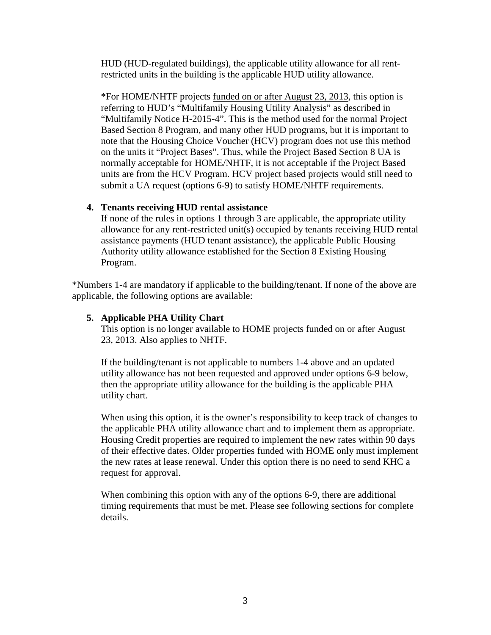HUD (HUD-regulated buildings), the applicable utility allowance for all rentrestricted units in the building is the applicable HUD utility allowance.

\*For HOME/NHTF projects funded on or after August 23, 2013, this option is referring to HUD's "Multifamily Housing Utility Analysis" as described in "Multifamily Notice H-2015-4". This is the method used for the normal Project Based Section 8 Program, and many other HUD programs, but it is important to note that the Housing Choice Voucher (HCV) program does not use this method on the units it "Project Bases". Thus, while the Project Based Section 8 UA is normally acceptable for HOME/NHTF, it is not acceptable if the Project Based units are from the HCV Program. HCV project based projects would still need to submit a UA request (options 6-9) to satisfy HOME/NHTF requirements.

## **4. Tenants receiving HUD rental assistance**

If none of the rules in options 1 through 3 are applicable, the appropriate utility allowance for any rent-restricted unit(s) occupied by tenants receiving HUD rental assistance payments (HUD tenant assistance), the applicable Public Housing Authority utility allowance established for the Section 8 Existing Housing Program.

\*Numbers 1-4 are mandatory if applicable to the building/tenant. If none of the above are applicable, the following options are available:

# **5. Applicable PHA Utility Chart**

This option is no longer available to HOME projects funded on or after August 23, 2013. Also applies to NHTF.

If the building/tenant is not applicable to numbers 1-4 above and an updated utility allowance has not been requested and approved under options 6-9 below, then the appropriate utility allowance for the building is the applicable PHA utility chart.

When using this option, it is the owner's responsibility to keep track of changes to the applicable PHA utility allowance chart and to implement them as appropriate. Housing Credit properties are required to implement the new rates within 90 days of their effective dates. Older properties funded with HOME only must implement the new rates at lease renewal. Under this option there is no need to send KHC a request for approval.

When combining this option with any of the options 6-9, there are additional timing requirements that must be met. Please see following sections for complete details.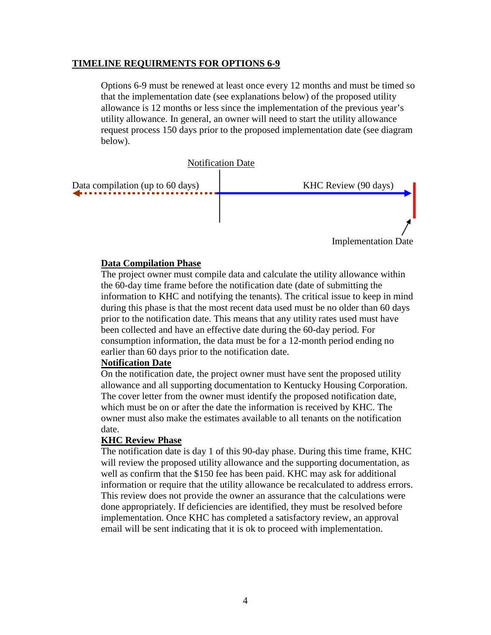#### **TIMELINE REQUIRMENTS FOR OPTIONS 6-9**

Options 6-9 must be renewed at least once every 12 months and must be timed so that the implementation date (see explanations below) of the proposed utility allowance is 12 months or less since the implementation of the previous year's utility allowance. In general, an owner will need to start the utility allowance request process 150 days prior to the proposed implementation date (see diagram below).



#### **Data Compilation Phase**

The project owner must compile data and calculate the utility allowance within the 60-day time frame before the notification date (date of submitting the information to KHC and notifying the tenants). The critical issue to keep in mind during this phase is that the most recent data used must be no older than 60 days prior to the notification date. This means that any utility rates used must have been collected and have an effective date during the 60-day period. For consumption information, the data must be for a 12-month period ending no earlier than 60 days prior to the notification date.

#### **Notification Date**

On the notification date, the project owner must have sent the proposed utility allowance and all supporting documentation to Kentucky Housing Corporation. The cover letter from the owner must identify the proposed notification date, which must be on or after the date the information is received by KHC. The owner must also make the estimates available to all tenants on the notification date.

## **KHC Review Phase**

The notification date is day 1 of this 90-day phase. During this time frame, KHC will review the proposed utility allowance and the supporting documentation, as well as confirm that the \$150 fee has been paid. KHC may ask for additional information or require that the utility allowance be recalculated to address errors. This review does not provide the owner an assurance that the calculations were done appropriately. If deficiencies are identified, they must be resolved before implementation. Once KHC has completed a satisfactory review, an approval email will be sent indicating that it is ok to proceed with implementation.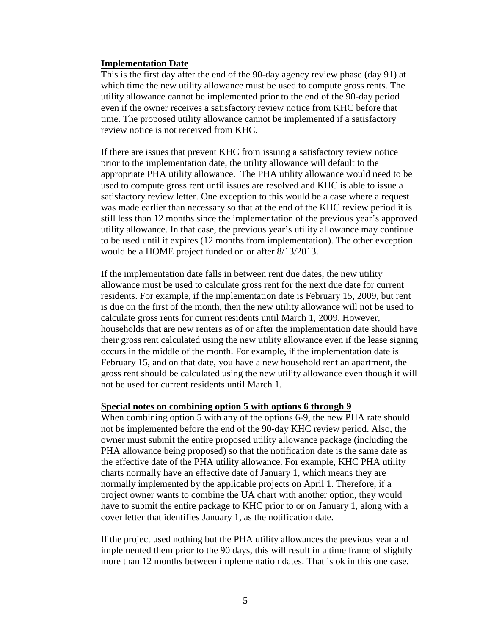#### **Implementation Date**

This is the first day after the end of the 90-day agency review phase (day 91) at which time the new utility allowance must be used to compute gross rents. The utility allowance cannot be implemented prior to the end of the 90-day period even if the owner receives a satisfactory review notice from KHC before that time. The proposed utility allowance cannot be implemented if a satisfactory review notice is not received from KHC.

If there are issues that prevent KHC from issuing a satisfactory review notice prior to the implementation date, the utility allowance will default to the appropriate PHA utility allowance. The PHA utility allowance would need to be used to compute gross rent until issues are resolved and KHC is able to issue a satisfactory review letter. One exception to this would be a case where a request was made earlier than necessary so that at the end of the KHC review period it is still less than 12 months since the implementation of the previous year's approved utility allowance. In that case, the previous year's utility allowance may continue to be used until it expires (12 months from implementation). The other exception would be a HOME project funded on or after 8/13/2013.

If the implementation date falls in between rent due dates, the new utility allowance must be used to calculate gross rent for the next due date for current residents. For example, if the implementation date is February 15, 2009, but rent is due on the first of the month, then the new utility allowance will not be used to calculate gross rents for current residents until March 1, 2009. However, households that are new renters as of or after the implementation date should have their gross rent calculated using the new utility allowance even if the lease signing occurs in the middle of the month. For example, if the implementation date is February 15, and on that date, you have a new household rent an apartment, the gross rent should be calculated using the new utility allowance even though it will not be used for current residents until March 1.

#### **Special notes on combining option 5 with options 6 through 9**

When combining option 5 with any of the options 6-9, the new PHA rate should not be implemented before the end of the 90-day KHC review period. Also, the owner must submit the entire proposed utility allowance package (including the PHA allowance being proposed) so that the notification date is the same date as the effective date of the PHA utility allowance. For example, KHC PHA utility charts normally have an effective date of January 1, which means they are normally implemented by the applicable projects on April 1. Therefore, if a project owner wants to combine the UA chart with another option, they would have to submit the entire package to KHC prior to or on January 1, along with a cover letter that identifies January 1, as the notification date.

If the project used nothing but the PHA utility allowances the previous year and implemented them prior to the 90 days, this will result in a time frame of slightly more than 12 months between implementation dates. That is ok in this one case.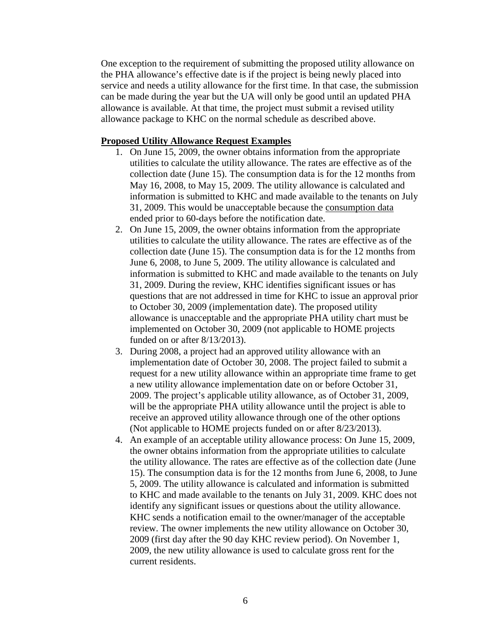One exception to the requirement of submitting the proposed utility allowance on the PHA allowance's effective date is if the project is being newly placed into service and needs a utility allowance for the first time. In that case, the submission can be made during the year but the UA will only be good until an updated PHA allowance is available. At that time, the project must submit a revised utility allowance package to KHC on the normal schedule as described above.

#### **Proposed Utility Allowance Request Examples**

- 1. On June 15, 2009, the owner obtains information from the appropriate utilities to calculate the utility allowance. The rates are effective as of the collection date (June 15). The consumption data is for the 12 months from May 16, 2008, to May 15, 2009. The utility allowance is calculated and information is submitted to KHC and made available to the tenants on July 31, 2009. This would be unacceptable because the consumption data ended prior to 60-days before the notification date.
- 2. On June 15, 2009, the owner obtains information from the appropriate utilities to calculate the utility allowance. The rates are effective as of the collection date (June 15). The consumption data is for the 12 months from June 6, 2008, to June 5, 2009. The utility allowance is calculated and information is submitted to KHC and made available to the tenants on July 31, 2009. During the review, KHC identifies significant issues or has questions that are not addressed in time for KHC to issue an approval prior to October 30, 2009 (implementation date). The proposed utility allowance is unacceptable and the appropriate PHA utility chart must be implemented on October 30, 2009 (not applicable to HOME projects funded on or after 8/13/2013).
- 3. During 2008, a project had an approved utility allowance with an implementation date of October 30, 2008. The project failed to submit a request for a new utility allowance within an appropriate time frame to get a new utility allowance implementation date on or before October 31, 2009. The project's applicable utility allowance, as of October 31, 2009, will be the appropriate PHA utility allowance until the project is able to receive an approved utility allowance through one of the other options (Not applicable to HOME projects funded on or after 8/23/2013).
- 4. An example of an acceptable utility allowance process: On June 15, 2009, the owner obtains information from the appropriate utilities to calculate the utility allowance. The rates are effective as of the collection date (June 15). The consumption data is for the 12 months from June 6, 2008, to June 5, 2009. The utility allowance is calculated and information is submitted to KHC and made available to the tenants on July 31, 2009. KHC does not identify any significant issues or questions about the utility allowance. KHC sends a notification email to the owner/manager of the acceptable review. The owner implements the new utility allowance on October 30, 2009 (first day after the 90 day KHC review period). On November 1, 2009, the new utility allowance is used to calculate gross rent for the current residents.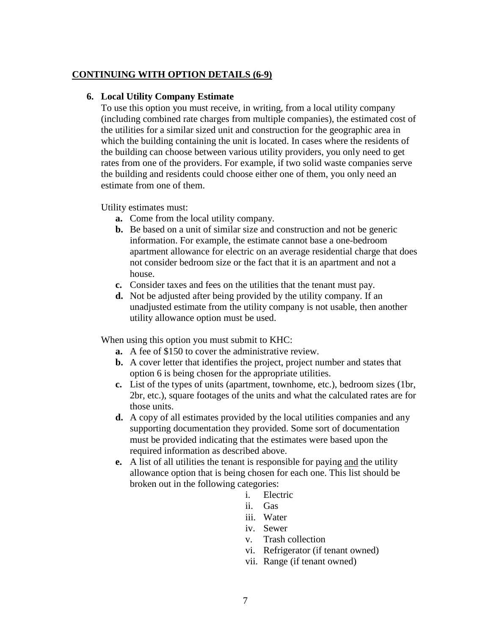## **CONTINUING WITH OPTION DETAILS (6-9)**

## **6. Local Utility Company Estimate**

To use this option you must receive, in writing, from a local utility company (including combined rate charges from multiple companies), the estimated cost of the utilities for a similar sized unit and construction for the geographic area in which the building containing the unit is located. In cases where the residents of the building can choose between various utility providers, you only need to get rates from one of the providers. For example, if two solid waste companies serve the building and residents could choose either one of them, you only need an estimate from one of them.

Utility estimates must:

- **a.** Come from the local utility company.
- **b.** Be based on a unit of similar size and construction and not be generic information. For example, the estimate cannot base a one-bedroom apartment allowance for electric on an average residential charge that does not consider bedroom size or the fact that it is an apartment and not a house.
- **c.** Consider taxes and fees on the utilities that the tenant must pay.
- **d.** Not be adjusted after being provided by the utility company. If an unadjusted estimate from the utility company is not usable, then another utility allowance option must be used.

When using this option you must submit to KHC:

- **a.** A fee of \$150 to cover the administrative review.
- **b.** A cover letter that identifies the project, project number and states that option 6 is being chosen for the appropriate utilities.
- **c.** List of the types of units (apartment, townhome, etc.), bedroom sizes (1br, 2br, etc.), square footages of the units and what the calculated rates are for those units.
- **d.** A copy of all estimates provided by the local utilities companies and any supporting documentation they provided. Some sort of documentation must be provided indicating that the estimates were based upon the required information as described above.
- **e.** A list of all utilities the tenant is responsible for paying and the utility allowance option that is being chosen for each one. This list should be broken out in the following categories:
	- i. Electric
	- ii. Gas
	- iii. Water
	- iv. Sewer
	- v. Trash collection
	- vi. Refrigerator (if tenant owned)
	- vii. Range (if tenant owned)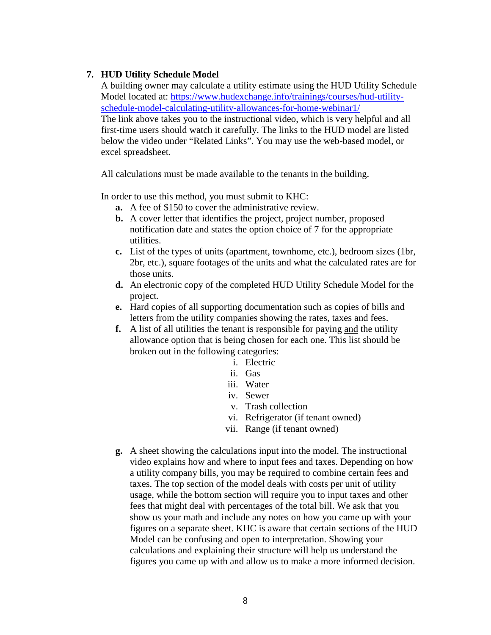## **7. HUD Utility Schedule Model**

A building owner may calculate a utility estimate using the HUD Utility Schedule Model located at: [https://www.hudexchange.info/trainings/courses/hud-utility](https://www.hudexchange.info/trainings/courses/hud-utility-schedule-model-calculating-utility-allowances-for-home-webinar1/)[schedule-model-calculating-utility-allowances-for-home-webinar1/](https://www.hudexchange.info/trainings/courses/hud-utility-schedule-model-calculating-utility-allowances-for-home-webinar1/) The link above takes you to the instructional video, which is very helpful and all first-time users should watch it carefully. The links to the HUD model are listed below the video under "Related Links". You may use the web-based model, or excel spreadsheet.

All calculations must be made available to the tenants in the building.

In order to use this method, you must submit to KHC:

- **a.** A fee of \$150 to cover the administrative review.
- **b.** A cover letter that identifies the project, project number, proposed notification date and states the option choice of 7 for the appropriate utilities.
- **c.** List of the types of units (apartment, townhome, etc.), bedroom sizes (1br, 2br, etc.), square footages of the units and what the calculated rates are for those units.
- **d.** An electronic copy of the completed HUD Utility Schedule Model for the project.
- **e.** Hard copies of all supporting documentation such as copies of bills and letters from the utility companies showing the rates, taxes and fees.
- **f.** A list of all utilities the tenant is responsible for paying and the utility allowance option that is being chosen for each one. This list should be broken out in the following categories:
	- i. Electric
	- ii. Gas
	- iii. Water
	- iv. Sewer
	- v. Trash collection
	- vi. Refrigerator (if tenant owned)
	- vii. Range (if tenant owned)
- **g.** A sheet showing the calculations input into the model. The instructional video explains how and where to input fees and taxes. Depending on how a utility company bills, you may be required to combine certain fees and taxes. The top section of the model deals with costs per unit of utility usage, while the bottom section will require you to input taxes and other fees that might deal with percentages of the total bill. We ask that you show us your math and include any notes on how you came up with your figures on a separate sheet. KHC is aware that certain sections of the HUD Model can be confusing and open to interpretation. Showing your calculations and explaining their structure will help us understand the figures you came up with and allow us to make a more informed decision.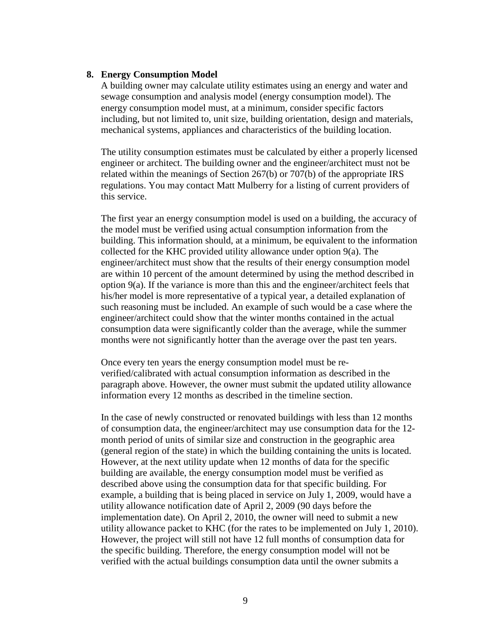#### **8. Energy Consumption Model**

A building owner may calculate utility estimates using an energy and water and sewage consumption and analysis model (energy consumption model). The energy consumption model must, at a minimum, consider specific factors including, but not limited to, unit size, building orientation, design and materials, mechanical systems, appliances and characteristics of the building location.

The utility consumption estimates must be calculated by either a properly licensed engineer or architect. The building owner and the engineer/architect must not be related within the meanings of Section 267(b) or 707(b) of the appropriate IRS regulations. You may contact Matt Mulberry for a listing of current providers of this service.

The first year an energy consumption model is used on a building, the accuracy of the model must be verified using actual consumption information from the building. This information should, at a minimum, be equivalent to the information collected for the KHC provided utility allowance under option 9(a). The engineer/architect must show that the results of their energy consumption model are within 10 percent of the amount determined by using the method described in option 9(a). If the variance is more than this and the engineer/architect feels that his/her model is more representative of a typical year, a detailed explanation of such reasoning must be included. An example of such would be a case where the engineer/architect could show that the winter months contained in the actual consumption data were significantly colder than the average, while the summer months were not significantly hotter than the average over the past ten years.

Once every ten years the energy consumption model must be reverified/calibrated with actual consumption information as described in the paragraph above. However, the owner must submit the updated utility allowance information every 12 months as described in the timeline section.

In the case of newly constructed or renovated buildings with less than 12 months of consumption data, the engineer/architect may use consumption data for the 12 month period of units of similar size and construction in the geographic area (general region of the state) in which the building containing the units is located. However, at the next utility update when 12 months of data for the specific building are available, the energy consumption model must be verified as described above using the consumption data for that specific building. For example, a building that is being placed in service on July 1, 2009, would have a utility allowance notification date of April 2, 2009 (90 days before the implementation date). On April 2, 2010, the owner will need to submit a new utility allowance packet to KHC (for the rates to be implemented on July 1, 2010). However, the project will still not have 12 full months of consumption data for the specific building. Therefore, the energy consumption model will not be verified with the actual buildings consumption data until the owner submits a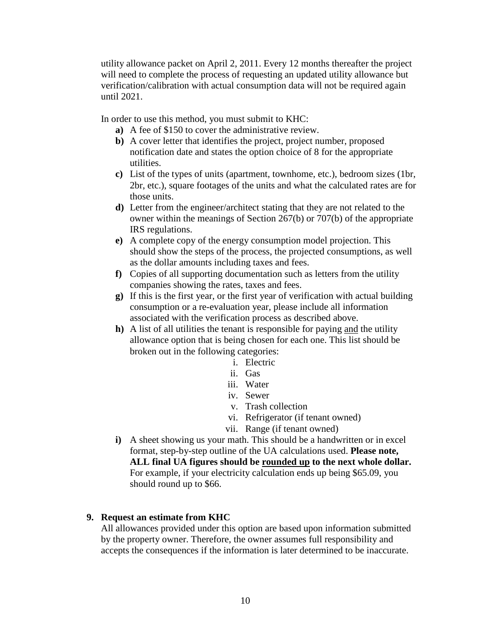utility allowance packet on April 2, 2011. Every 12 months thereafter the project will need to complete the process of requesting an updated utility allowance but verification/calibration with actual consumption data will not be required again until 2021.

In order to use this method, you must submit to KHC:

- **a)** A fee of \$150 to cover the administrative review.
- **b)** A cover letter that identifies the project, project number, proposed notification date and states the option choice of 8 for the appropriate utilities.
- **c)** List of the types of units (apartment, townhome, etc.), bedroom sizes (1br, 2br, etc.), square footages of the units and what the calculated rates are for those units.
- **d)** Letter from the engineer/architect stating that they are not related to the owner within the meanings of Section 267(b) or 707(b) of the appropriate IRS regulations.
- **e)** A complete copy of the energy consumption model projection. This should show the steps of the process, the projected consumptions, as well as the dollar amounts including taxes and fees.
- **f)** Copies of all supporting documentation such as letters from the utility companies showing the rates, taxes and fees.
- **g)** If this is the first year, or the first year of verification with actual building consumption or a re-evaluation year, please include all information associated with the verification process as described above.
- **h)** A list of all utilities the tenant is responsible for paying and the utility allowance option that is being chosen for each one. This list should be broken out in the following categories:
	- i. Electric
	- ii. Gas
	- iii. Water
	- iv. Sewer
		- v. Trash collection
	- vi. Refrigerator (if tenant owned)
	- vii. Range (if tenant owned)
- **i)** A sheet showing us your math. This should be a handwritten or in excel format, step-by-step outline of the UA calculations used. **Please note, ALL final UA figures should be rounded up to the next whole dollar.** For example, if your electricity calculation ends up being \$65.09, you should round up to \$66.

## **9. Request an estimate from KHC**

All allowances provided under this option are based upon information submitted by the property owner. Therefore, the owner assumes full responsibility and accepts the consequences if the information is later determined to be inaccurate.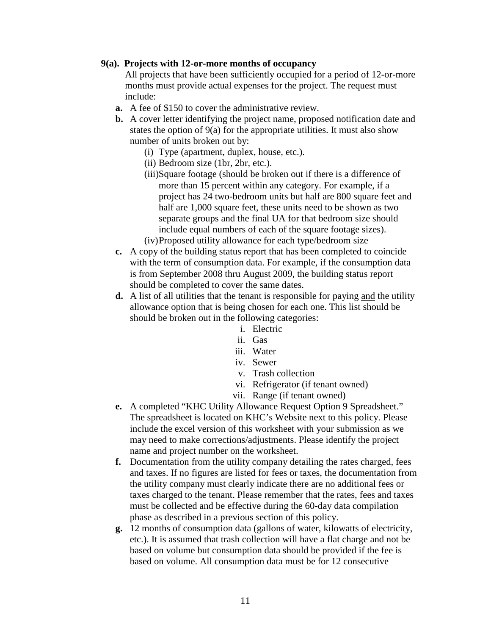## **9(a). Projects with 12-or-more months of occupancy**

All projects that have been sufficiently occupied for a period of 12-or-more months must provide actual expenses for the project. The request must include:

- **a.** A fee of \$150 to cover the administrative review.
- **b.** A cover letter identifying the project name, proposed notification date and states the option of 9(a) for the appropriate utilities. It must also show number of units broken out by:
	- (i) Type (apartment, duplex, house, etc.).
	- (ii) Bedroom size (1br, 2br, etc.).
	- (iii)Square footage (should be broken out if there is a difference of more than 15 percent within any category. For example, if a project has 24 two-bedroom units but half are 800 square feet and half are 1,000 square feet, these units need to be shown as two separate groups and the final UA for that bedroom size should include equal numbers of each of the square footage sizes). (iv)Proposed utility allowance for each type/bedroom size
- **c.** A copy of the building status report that has been completed to coincide with the term of consumption data. For example, if the consumption data is from September 2008 thru August 2009, the building status report should be completed to cover the same dates.
- **d.** A list of all utilities that the tenant is responsible for paying and the utility allowance option that is being chosen for each one. This list should be should be broken out in the following categories:
	- i. Electric
	- ii. Gas
	- iii. Water
	- iv. Sewer
	- v. Trash collection
	- vi. Refrigerator (if tenant owned)
	- vii. Range (if tenant owned)
- **e.** A completed "KHC Utility Allowance Request Option 9 Spreadsheet." The spreadsheet is located on KHC's Website next to this policy. Please include the excel version of this worksheet with your submission as we may need to make corrections/adjustments. Please identify the project name and project number on the worksheet.
- **f.** Documentation from the utility company detailing the rates charged, fees and taxes. If no figures are listed for fees or taxes, the documentation from the utility company must clearly indicate there are no additional fees or taxes charged to the tenant. Please remember that the rates, fees and taxes must be collected and be effective during the 60-day data compilation phase as described in a previous section of this policy.
- **g.** 12 months of consumption data (gallons of water, kilowatts of electricity, etc.). It is assumed that trash collection will have a flat charge and not be based on volume but consumption data should be provided if the fee is based on volume. All consumption data must be for 12 consecutive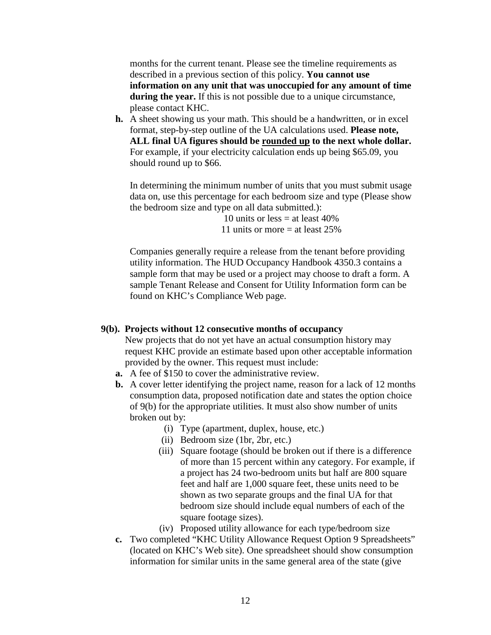months for the current tenant. Please see the timeline requirements as described in a previous section of this policy. **You cannot use information on any unit that was unoccupied for any amount of time during the year.** If this is not possible due to a unique circumstance, please contact KHC.

**h.** A sheet showing us your math. This should be a handwritten, or in excel format, step-by-step outline of the UA calculations used. **Please note, ALL final UA figures should be rounded up to the next whole dollar.**  For example, if your electricity calculation ends up being \$65.09, you should round up to \$66.

In determining the minimum number of units that you must submit usage data on, use this percentage for each bedroom size and type (Please show the bedroom size and type on all data submitted.):

> 10 units or less  $=$  at least 40% 11 units or more = at least 25%

Companies generally require a release from the tenant before providing utility information. The HUD Occupancy Handbook 4350.3 contains a sample form that may be used or a project may choose to draft a form. A sample Tenant Release and Consent for Utility Information form can be found on KHC's Compliance Web page.

#### **9(b). Projects without 12 consecutive months of occupancy**

New projects that do not yet have an actual consumption history may request KHC provide an estimate based upon other acceptable information provided by the owner. This request must include:

- **a.** A fee of \$150 to cover the administrative review.
- **b.** A cover letter identifying the project name, reason for a lack of 12 months consumption data, proposed notification date and states the option choice of 9(b) for the appropriate utilities. It must also show number of units broken out by:
	- (i) Type (apartment, duplex, house, etc.)
	- (ii) Bedroom size (1br, 2br, etc.)
	- (iii) Square footage (should be broken out if there is a difference of more than 15 percent within any category. For example, if a project has 24 two-bedroom units but half are 800 square feet and half are 1,000 square feet, these units need to be shown as two separate groups and the final UA for that bedroom size should include equal numbers of each of the square footage sizes).
	- (iv) Proposed utility allowance for each type/bedroom size
- **c.** Two completed "KHC Utility Allowance Request Option 9 Spreadsheets" (located on KHC's Web site). One spreadsheet should show consumption information for similar units in the same general area of the state (give